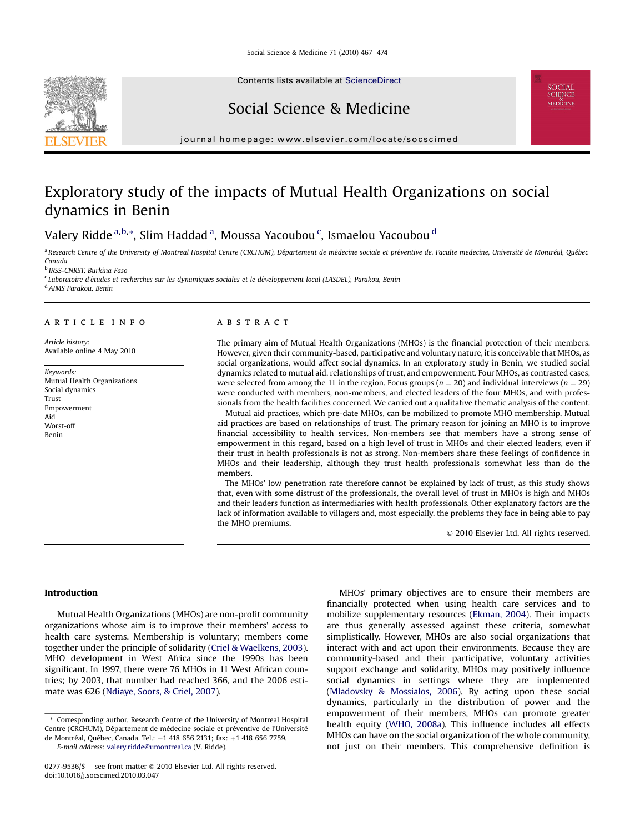Contents lists available at [ScienceDirect](www.sciencedirect.com/science/journal/02779536)

## Social Science & Medicine

journal homepage: [www.elsevier.com/locate/socscimed](http://www.elsevier.com/locate/socscimed)

# Exploratory study of the impacts of Mutual Health Organizations on social dynamics in Benin

## Valery Ridde <sup>a, b,</sup> \*, Slim Haddad <sup>a</sup>, Moussa Yacoubou <sup>c</sup>, Ismaelou Yacoubou <sup>d</sup>

<sup>a</sup> Research Centre of the University of Montreal Hospital Centre (CRCHUM), Département de médecine sociale et préventive de, Faculte medecine, Université de Montréal, Québec Canada

**b IRSS-CNRST, Burking Faso** 

<sup>c</sup> Laboratoire d'études et recherches sur les dynamiques sociales et le développement local (LASDEL), Parakou, Benin

<sup>d</sup> AIMS Parakou, Benin

## article info

Article history: Available online 4 May 2010

Keywords: Mutual Health Organizations Social dynamics Trust Empowerment Aid Worst-off Benin

## **ABSTRACT**

The primary aim of Mutual Health Organizations (MHOs) is the financial protection of their members. However, given their community-based, participative and voluntary nature, it is conceivable that MHOs, as social organizations, would affect social dynamics. In an exploratory study in Benin, we studied social dynamics related to mutual aid, relationships of trust, and empowerment. Four MHOs, as contrasted cases, were selected from among the 11 in the region. Focus groups ( $n = 20$ ) and individual interviews ( $n = 29$ ) were conducted with members, non-members, and elected leaders of the four MHOs, and with professionals from the health facilities concerned. We carried out a qualitative thematic analysis of the content.

Mutual aid practices, which pre-date MHOs, can be mobilized to promote MHO membership. Mutual aid practices are based on relationships of trust. The primary reason for joining an MHO is to improve financial accessibility to health services. Non-members see that members have a strong sense of empowerment in this regard, based on a high level of trust in MHOs and their elected leaders, even if their trust in health professionals is not as strong. Non-members share these feelings of confidence in MHOs and their leadership, although they trust health professionals somewhat less than do the members.

The MHOs' low penetration rate therefore cannot be explained by lack of trust, as this study shows that, even with some distrust of the professionals, the overall level of trust in MHOs is high and MHOs and their leaders function as intermediaries with health professionals. Other explanatory factors are the lack of information available to villagers and, most especially, the problems they face in being able to pay the MHO premiums.

2010 Elsevier Ltd. All rights reserved.

**SOCIA SCIENCE MEDICINE** 

## Introduction

Mutual Health Organizations (MHOs) are non-profit community organizations whose aim is to improve their members' access to health care systems. Membership is voluntary; members come together under the principle of solidarity [\(Criel & Waelkens, 2003\)](#page-7-0). MHO development in West Africa since the 1990s has been significant. In 1997, there were 76 MHOs in 11 West African countries; by 2003, that number had reached 366, and the 2006 estimate was 626 ([Ndiaye, Soors, & Criel, 2007\)](#page-7-0).

E-mail address: [valery.ridde@umontreal.ca](mailto:valery.ridde@umontreal.ca) (V. Ridde).

MHOs' primary objectives are to ensure their members are financially protected when using health care services and to mobilize supplementary resources ([Ekman, 2004](#page-7-0)). Their impacts are thus generally assessed against these criteria, somewhat simplistically. However, MHOs are also social organizations that interact with and act upon their environments. Because they are community-based and their participative, voluntary activities support exchange and solidarity, MHOs may positively influence social dynamics in settings where they are implemented ([Mladovsky & Mossialos, 2006](#page-7-0)). By acting upon these social dynamics, particularly in the distribution of power and the empowerment of their members, MHOs can promote greater health equity ([WHO, 2008a\)](#page-7-0). This influence includes all effects MHOs can have on the social organization of the whole community, not just on their members. This comprehensive definition is

<sup>\*</sup> Corresponding author. Research Centre of the University of Montreal Hospital Centre (CRCHUM), Département de médecine sociale et préventive de l'Université de Montréal, Québec, Canada. Tel.: +1 418 656 2131; fax: +1 418 656 7759.

 $0277 - 9536$ /\$ - see front matter  $\odot$  2010 Elsevier Ltd. All rights reserved. doi:10.1016/j.socscimed.2010.03.047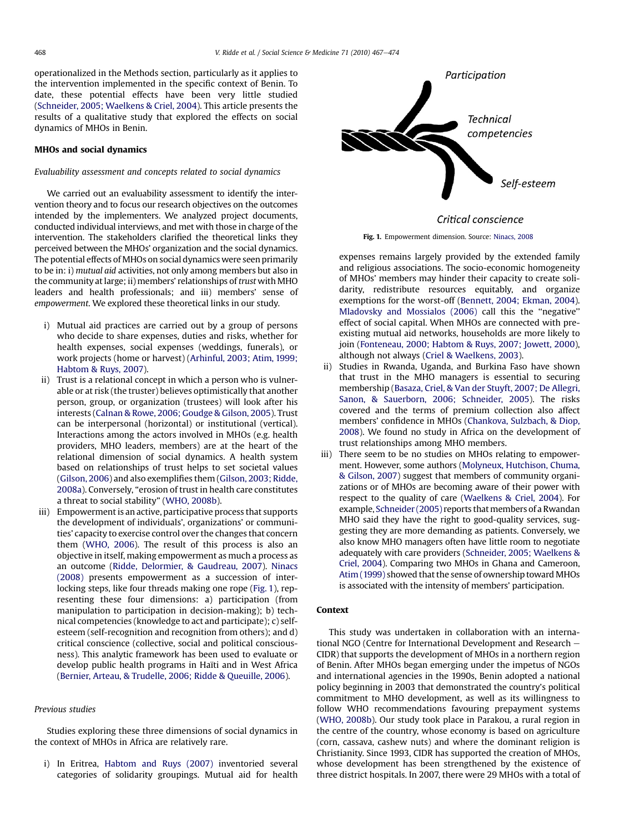operationalized in the Methods section, particularly as it applies to the intervention implemented in the specific context of Benin. To date, these potential effects have been very little studied ([Schneider, 2005; Waelkens & Criel, 2004\)](#page-7-0). This article presents the results of a qualitative study that explored the effects on social dynamics of MHOs in Benin.

## MHOs and social dynamics

## Evaluability assessment and concepts related to social dynamics

We carried out an evaluability assessment to identify the intervention theory and to focus our research objectives on the outcomes intended by the implementers. We analyzed project documents, conducted individual interviews, and met with those in charge of the intervention. The stakeholders clarified the theoretical links they perceived between the MHOs' organization and the social dynamics. The potential effects of MHOs on social dynamics were seen primarily to be in: i) mutual aid activities, not only among members but also in the community at large; ii) members' relationships of trust with MHO leaders and health professionals; and iii) members' sense of empowerment. We explored these theoretical links in our study.

- i) Mutual aid practices are carried out by a group of persons who decide to share expenses, duties and risks, whether for health expenses, social expenses (weddings, funerals), or work projects (home or harvest) [\(Arhinful, 2003; Atim, 1999;](#page-6-0) [Habtom & Ruys, 2007\)](#page-6-0).
- ii) Trust is a relational concept in which a person who is vulnerable or at risk (the truster) believes optimistically that another person, group, or organization (trustees) will look after his interests [\(Calnan & Rowe, 2006; Goudge & Gilson, 2005](#page-7-0)). Trust can be interpersonal (horizontal) or institutional (vertical). Interactions among the actors involved in MHOs (e.g. health providers, MHO leaders, members) are at the heart of the relational dimension of social dynamics. A health system based on relationships of trust helps to set societal values [\(Gilson, 2006\)](#page-7-0) and also exemplifies them ([Gilson, 2003; Ridde,](#page-7-0) [2008a\)](#page-7-0). Conversely, "erosion of trust in health care constitutes a threat to social stability" ([WHO, 2008b\)](#page-7-0).
- iii) Empowerment is an active, participative process that supports the development of individuals', organizations' or communities' capacity to exercise control over the changes that concern them ([WHO, 2006](#page-7-0)). The result of this process is also an objective in itself, making empowerment as much a process as an outcome [\(Ridde, Delormier, & Gaudreau, 2007\)](#page-7-0). [Ninacs](#page-7-0) [\(2008\)](#page-7-0) presents empowerment as a succession of interlocking steps, like four threads making one rope (Fig. 1), representing these four dimensions: a) participation (from manipulation to participation in decision-making); b) technical competencies (knowledge to act and participate); c) selfesteem (self-recognition and recognition from others); and d) critical conscience (collective, social and political consciousness). This analytic framework has been used to evaluate or develop public health programs in Haïti and in West Africa [\(Bernier, Arteau, & Trudelle, 2006; Ridde & Queuille, 2006\)](#page-6-0).

## Previous studies

Studies exploring these three dimensions of social dynamics in the context of MHOs in Africa are relatively rare.

i) In Eritrea, [Habtom and Ruys \(2007\)](#page-7-0) inventoried several categories of solidarity groupings. Mutual aid for health



Fig. 1. Empowerment dimension. Source: [Ninacs, 2008](#page-7-0)

expenses remains largely provided by the extended family and religious associations. The socio-economic homogeneity of MHOs' members may hinder their capacity to create solidarity, redistribute resources equitably, and organize exemptions for the worst-off [\(Bennett, 2004; Ekman, 2004\)](#page-6-0). [Mladovsky and Mossialos \(2006\)](#page-7-0) call this the ''negative'' effect of social capital. When MHOs are connected with preexisting mutual aid networks, households are more likely to join [\(Fonteneau, 2000; Habtom & Ruys, 2007; Jowett, 2000\)](#page-7-0), although not always ([Criel & Waelkens, 2003](#page-7-0)).

- ii) Studies in Rwanda, Uganda, and Burkina Faso have shown that trust in the MHO managers is essential to securing membership ([Basaza, Criel, & Van der Stuyft, 2007; De Allegri,](#page-6-0) [Sanon, & Sauerborn, 2006; Schneider, 2005\)](#page-6-0). The risks covered and the terms of premium collection also affect members' confidence in MHOs ([Chankova, Sulzbach, & Diop,](#page-7-0) [2008\)](#page-7-0). We found no study in Africa on the development of trust relationships among MHO members.
- iii) There seem to be no studies on MHOs relating to empowerment. However, some authors ([Molyneux, Hutchison, Chuma,](#page-7-0) [& Gilson, 2007\)](#page-7-0) suggest that members of community organizations or of MHOs are becoming aware of their power with respect to the quality of care [\(Waelkens & Criel, 2004\)](#page-7-0). For example, [Schneider \(2005\)](#page-7-0) reports that members of a Rwandan MHO said they have the right to good-quality services, suggesting they are more demanding as patients. Conversely, we also know MHO managers often have little room to negotiate adequately with care providers [\(Schneider, 2005; Waelkens &](#page-7-0) [Criel, 2004](#page-7-0)). Comparing two MHOs in Ghana and Cameroon, [Atim \(1999\)](#page-6-0) showed that the sense of ownership toward MHOs is associated with the intensity of members' participation.

## **Context**

This study was undertaken in collaboration with an international NGO (Centre for International Development and Research  $-$ CIDR) that supports the development of MHOs in a northern region of Benin. After MHOs began emerging under the impetus of NGOs and international agencies in the 1990s, Benin adopted a national policy beginning in 2003 that demonstrated the country's political commitment to MHO development, as well as its willingness to follow WHO recommendations favouring prepayment systems ([WHO, 2008b](#page-7-0)). Our study took place in Parakou, a rural region in the centre of the country, whose economy is based on agriculture (corn, cassava, cashew nuts) and where the dominant religion is Christianity. Since 1993, CIDR has supported the creation of MHOs, whose development has been strengthened by the existence of three district hospitals. In 2007, there were 29 MHOs with a total of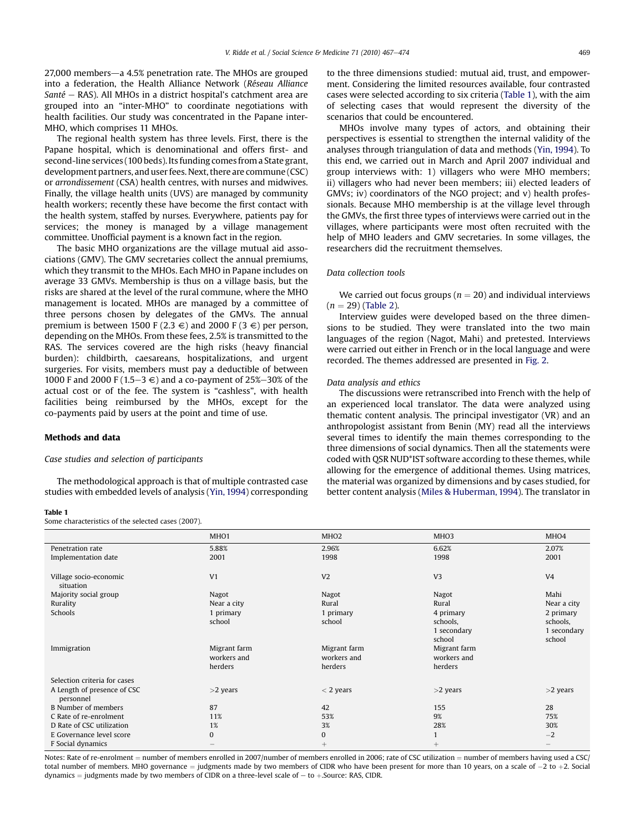<span id="page-2-0"></span> $27,000$  members—a 4.5% penetration rate. The MHOs are grouped into a federation, the Health Alliance Network (Réseau Alliance  $Santé - RAS$ ). All MHOs in a district hospital's catchment area are grouped into an "inter-MHO" to coordinate negotiations with health facilities. Our study was concentrated in the Papane inter-MHO, which comprises 11 MHOs.

The regional health system has three levels. First, there is the Papane hospital, which is denominational and offers first- and second-line services (100 beds). Its funding comes from a State grant, development partners, and user fees. Next, there are commune (CSC) or arrondissement (CSA) health centres, with nurses and midwives. Finally, the village health units (UVS) are managed by community health workers; recently these have become the first contact with the health system, staffed by nurses. Everywhere, patients pay for services; the money is managed by a village management committee. Unofficial payment is a known fact in the region.

The basic MHO organizations are the village mutual aid associations (GMV). The GMV secretaries collect the annual premiums, which they transmit to the MHOs. Each MHO in Papane includes on average 33 GMVs. Membership is thus on a village basis, but the risks are shared at the level of the rural commune, where the MHO management is located. MHOs are managed by a committee of three persons chosen by delegates of the GMVs. The annual premium is between 1500 F (2.3  $\in$ ) and 2000 F (3  $\in$ ) per person, depending on the MHOs. From these fees, 2.5% is transmitted to the RAS. The services covered are the high risks (heavy financial burden): childbirth, caesareans, hospitalizations, and urgent surgeries. For visits, members must pay a deductible of between 1000 F and 2000 F (1.5–3  $\in$ ) and a co-payment of 25%–30% of the actual cost or of the fee. The system is "cashless", with health facilities being reimbursed by the MHOs, except for the co-payments paid by users at the point and time of use.

### Methods and data

### Case studies and selection of participants

The methodological approach is that of multiple contrasted case studies with embedded levels of analysis ([Yin, 1994](#page-7-0)) corresponding

#### Table 1

Some characteristics of the selected cases (2007).

to the three dimensions studied: mutual aid, trust, and empowerment. Considering the limited resources available, four contrasted cases were selected according to six criteria (Table 1), with the aim of selecting cases that would represent the diversity of the scenarios that could be encountered.

MHOs involve many types of actors, and obtaining their perspectives is essential to strengthen the internal validity of the analyses through triangulation of data and methods [\(Yin, 1994\)](#page-7-0). To this end, we carried out in March and April 2007 individual and group interviews with: 1) villagers who were MHO members; ii) villagers who had never been members; iii) elected leaders of GMVs; iv) coordinators of the NGO project; and v) health professionals. Because MHO membership is at the village level through the GMVs, the first three types of interviews were carried out in the villages, where participants were most often recruited with the help of MHO leaders and GMV secretaries. In some villages, the researchers did the recruitment themselves.

## Data collection tools

We carried out focus groups ( $n = 20$ ) and individual interviews  $(n = 29)$  ([Table 2\)](#page-3-0).

Interview guides were developed based on the three dimensions to be studied. They were translated into the two main languages of the region (Nagot, Mahi) and pretested. Interviews were carried out either in French or in the local language and were recorded. The themes addressed are presented in [Fig. 2](#page-3-0).

#### Data analysis and ethics

The discussions were retranscribed into French with the help of an experienced local translator. The data were analyzed using thematic content analysis. The principal investigator (VR) and an anthropologist assistant from Benin (MY) read all the interviews several times to identify the main themes corresponding to the three dimensions of social dynamics. Then all the statements were coded with QSR NUD\*IST software according to these themes, while allowing for the emergence of additional themes. Using matrices, the material was organized by dimensions and by cases studied, for better content analysis ([Miles & Huberman, 1994\)](#page-7-0). The translator in

|                                          | MH <sub>O</sub> 1 | MH <sub>O</sub> 2 | MH <sub>O</sub> 3 | MH <sub>O</sub> 4 |
|------------------------------------------|-------------------|-------------------|-------------------|-------------------|
| Penetration rate                         | 5.88%             | 2.96%             | 6.62%             | 2.07%             |
| Implementation date                      | 2001              | 1998              | 1998              | 2001              |
|                                          |                   |                   |                   |                   |
| Village socio-economic<br>situation      | V <sub>1</sub>    | V <sub>2</sub>    | V <sub>3</sub>    | V <sub>4</sub>    |
| Majority social group                    | Nagot             | Nagot             | Nagot             | Mahi              |
| Rurality                                 | Near a city       | Rural             | Rural             | Near a city       |
| Schools                                  | 1 primary         | 1 primary         | 4 primary         | 2 primary         |
|                                          | school            | school            | schools,          | schools,          |
|                                          |                   |                   | 1 secondary       | 1 secondary       |
|                                          |                   |                   | school            | school            |
| Immigration                              | Migrant farm      | Migrant farm      | Migrant farm      |                   |
|                                          | workers and       | workers and       | workers and       |                   |
|                                          | herders           | herders           | herders           |                   |
| Selection criteria for cases             |                   |                   |                   |                   |
| A Length of presence of CSC<br>personnel | $>2$ years        | $<$ 2 years       | $>2$ years        | $>2$ years        |
| <b>B</b> Number of members               | 87                | 42                | 155               | 28                |
| C Rate of re-enrolment                   | 11%               | 53%               | 9%                | 75%               |
| D Rate of CSC utilization                | 1%                | 3%                | 28%               | 30%               |
| E Governance level score                 | $\mathbf{0}$      | $\mathbf{0}$      |                   | $-2$              |
| F Social dynamics                        |                   | $^{+}$            | $^{+}$            |                   |

Notes: Rate of re-enrolment = number of members enrolled in 2007/number of members enrolled in 2006; rate of CSC utilization = number of members having used a CSC/ total number of members. MHO governance  $=$  judgments made by two members of CIDR who have been present for more than 10 years, on a scale of  $-2$  to  $+2$ . Social dynamics  $=$  judgments made by two members of CIDR on a three-level scale of  $-$  to  $+$ . Source: RAS, CIDR.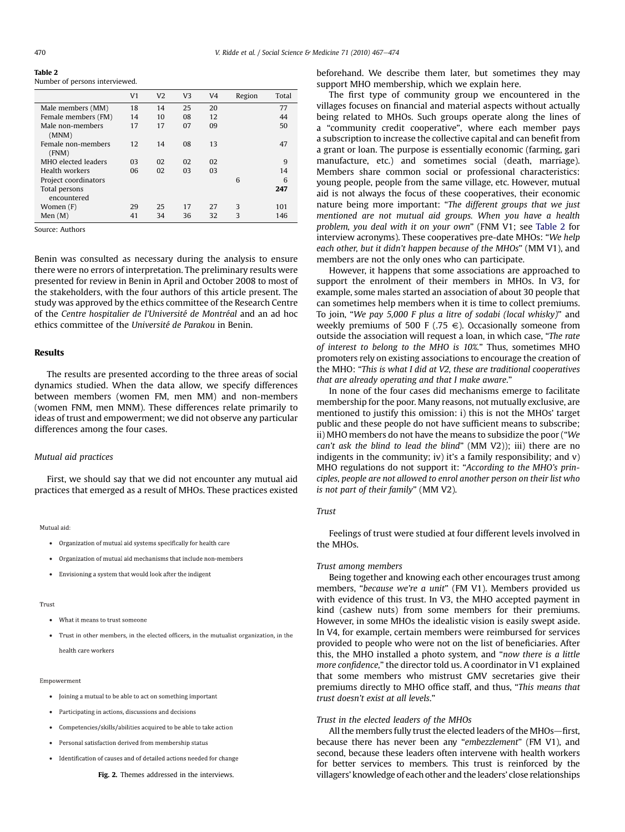#### <span id="page-3-0"></span>Table 2

Number of persons interviewed.

|                              | V <sub>1</sub> | V <sub>2</sub> | V <sub>3</sub> | V <sub>4</sub> | Region | Total |
|------------------------------|----------------|----------------|----------------|----------------|--------|-------|
| Male members (MM)            | 18             | 14             | 25             | 20             |        | 77    |
| Female members (FM)          | 14             | 10             | 08             | 12             |        | 44    |
| Male non-members<br>(MNM)    | 17             | 17             | 07             | 09             |        | 50    |
| Female non-members<br>(FNM)  | 12             | 14             | 08             | 13             |        | 47    |
| MHO elected leaders          | 03             | 02             | 02             | 02             |        | 9     |
| Health workers               | 06             | 02             | 03             | 03             |        | 14    |
| Project coordinators         |                |                |                |                | 6      | 6     |
| Total persons<br>encountered |                |                |                |                |        | 247   |
| Women (F)                    | 29             | 25             | 17             | 27             | 3      | 101   |
| Men $(M)$                    | 41             | 34             | 36             | 32             | 3      | 146   |

Source: Authors

Benin was consulted as necessary during the analysis to ensure there were no errors of interpretation. The preliminary results were presented for review in Benin in April and October 2008 to most of the stakeholders, with the four authors of this article present. The study was approved by the ethics committee of the Research Centre of the Centre hospitalier de l'Université de Montréal and an ad hoc ethics committee of the Université de Parakou in Benin.

## Results

The results are presented according to the three areas of social dynamics studied. When the data allow, we specify differences between members (women FM, men MM) and non-members (women FNM, men MNM). These differences relate primarily to ideas of trust and empowerment; we did not observe any particular differences among the four cases.

## Mutual aid practices

First, we should say that we did not encounter any mutual aid practices that emerged as a result of MHOs. These practices existed

#### Mutual aid:

- Organization of mutual aid systems specifically for health care
- Organization of mutual aid mechanisms that include non-members
- Envisioning a system that would look after the indigent

#### Trust

- What it means to trust someone
- Trust in other members, in the elected officers, in the mutualist organization, in the health care workers

#### Empowerment

- Joining a mutual to be able to act on something important
- Participating in actions, discussions and decisions
- Competencies/skills/abilities acquired to be able to take action
- Personal satisfaction derived from membership status
- Identification of causes and of detailed actions needed for change

#### Fig. 2. Themes addressed in the interviews.

beforehand. We describe them later, but sometimes they may support MHO membership, which we explain here.

The first type of community group we encountered in the villages focuses on financial and material aspects without actually being related to MHOs. Such groups operate along the lines of a "community credit cooperative", where each member pays a subscription to increase the collective capital and can benefit from a grant or loan. The purpose is essentially economic (farming, gari manufacture, etc.) and sometimes social (death, marriage). Members share common social or professional characteristics: young people, people from the same village, etc. However, mutual aid is not always the focus of these cooperatives, their economic nature being more important: "The different groups that we just mentioned are not mutual aid groups. When you have a health problem, you deal with it on your own" (FNM V1; see Table 2 for interview acronyms). These cooperatives pre-date MHOs: "We help each other, but it didn't happen because of the MHOs" (MM V1), and members are not the only ones who can participate.

However, it happens that some associations are approached to support the enrolment of their members in MHOs. In V3, for example, some males started an association of about 30 people that can sometimes help members when it is time to collect premiums. To join, "We pay 5,000 F plus a litre of sodabi (local whisky)" and weekly premiums of 500 F (.75  $\in$ ). Occasionally someone from outside the association will request a loan, in which case, "The rate of interest to belong to the MHO is 10%." Thus, sometimes MHO promoters rely on existing associations to encourage the creation of the MHO: "This is what I did at V2, these are traditional cooperatives that are already operating and that I make aware."

In none of the four cases did mechanisms emerge to facilitate membership for the poor. Many reasons, not mutually exclusive, are mentioned to justify this omission: i) this is not the MHOs' target public and these people do not have sufficient means to subscribe; ii) MHO members do not have the means to subsidize the poor ("We can't ask the blind to lead the blind" (MM V2)); iii) there are no indigents in the community; iv) it's a family responsibility; and v) MHO regulations do not support it: "According to the MHO's principles, people are not allowed to enrol another person on their list who is not part of their family" (MM V2).

## Trust

Feelings of trust were studied at four different levels involved in the MHOs.

#### Trust among members

Being together and knowing each other encourages trust among members, "because we're a unit" (FM V1). Members provided us with evidence of this trust. In V3, the MHO accepted payment in kind (cashew nuts) from some members for their premiums. However, in some MHOs the idealistic vision is easily swept aside. In V4, for example, certain members were reimbursed for services provided to people who were not on the list of beneficiaries. After this, the MHO installed a photo system, and "now there is a little more confidence," the director told us. A coordinator in V1 explained that some members who mistrust GMV secretaries give their premiums directly to MHO office staff, and thus, "This means that trust doesn't exist at all levels."

### Trust in the elected leaders of the MHOs

All the members fully trust the elected leaders of the MHOs-first, because there has never been any "embezzlement" (FM V1), and second, because these leaders often intervene with health workers for better services to members. This trust is reinforced by the villagers' knowledge of each other and the leaders' close relationships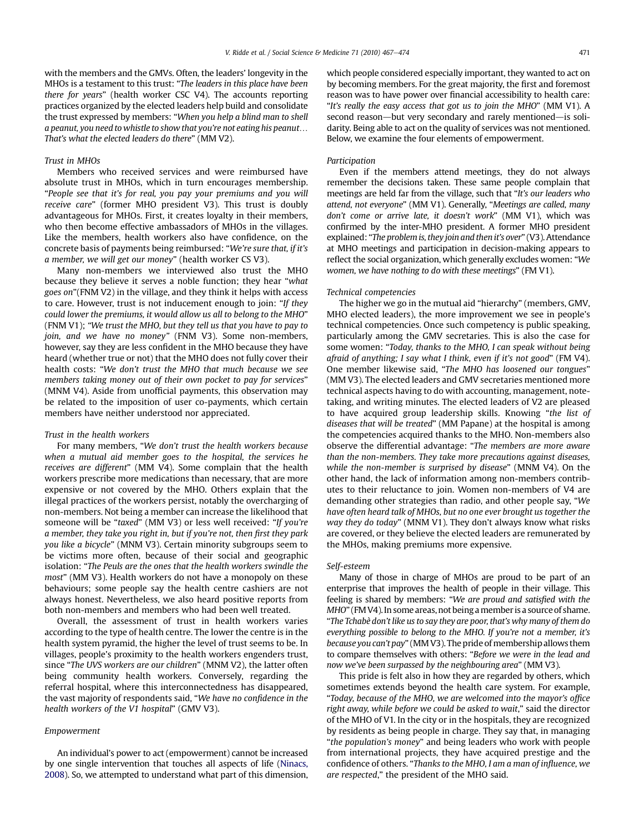with the members and the GMVs. Often, the leaders' longevity in the MHOs is a testament to this trust: "The leaders in this place have been there for years" (health worker CSC V4). The accounts reporting practices organized by the elected leaders help build and consolidate the trust expressed by members: "When you help a blind man to shell a peanut, you need to whistle to show that you're not eating his peanut. That's what the elected leaders do there" (MM V2).

#### Trust in MHOs

Members who received services and were reimbursed have absolute trust in MHOs, which in turn encourages membership. "People see that it's for real, you pay your premiums and you will receive care" (former MHO president V3). This trust is doubly advantageous for MHOs. First, it creates loyalty in their members, who then become effective ambassadors of MHOs in the villages. Like the members, health workers also have confidence, on the concrete basis of payments being reimbursed: "We're sure that, if it's a member, we will get our money" (health worker CS V3).

Many non-members we interviewed also trust the MHO because they believe it serves a noble function; they hear "what goes on"(FNM V2) in the village, and they think it helps with access to care. However, trust is not inducement enough to join: "If they could lower the premiums, it would allow us all to belong to the MHO" (FNM V1); "We trust the MHO, but they tell us that you have to pay to join, and we have no money" (FNM V3). Some non-members, however, say they are less confident in the MHO because they have heard (whether true or not) that the MHO does not fully cover their health costs: "We don't trust the MHO that much because we see members taking money out of their own pocket to pay for services" (MNM V4). Aside from unofficial payments, this observation may be related to the imposition of user co-payments, which certain members have neither understood nor appreciated.

#### Trust in the health workers

For many members, "We don't trust the health workers because when a mutual aid member goes to the hospital, the services he receives are different" (MM V4). Some complain that the health workers prescribe more medications than necessary, that are more expensive or not covered by the MHO. Others explain that the illegal practices of the workers persist, notably the overcharging of non-members. Not being a member can increase the likelihood that someone will be "taxed" (MM V3) or less well received: "If you're a member, they take you right in, but if you're not, then first they park you like a bicycle" (MNM V3). Certain minority subgroups seem to be victims more often, because of their social and geographic isolation: "The Peuls are the ones that the health workers swindle the most" (MM V3). Health workers do not have a monopoly on these behaviours; some people say the health centre cashiers are not always honest. Nevertheless, we also heard positive reports from both non-members and members who had been well treated.

Overall, the assessment of trust in health workers varies according to the type of health centre. The lower the centre is in the health system pyramid, the higher the level of trust seems to be. In villages, people's proximity to the health workers engenders trust, since "The UVS workers are our children" (MNM V2), the latter often being community health workers. Conversely, regarding the referral hospital, where this interconnectedness has disappeared, the vast majority of respondents said, "We have no confidence in the health workers of the V1 hospital" (GMV V3).

#### Empowerment

An individual's power to act (empowerment) cannot be increased by one single intervention that touches all aspects of life [\(Ninacs,](#page-7-0) [2008](#page-7-0)). So, we attempted to understand what part of this dimension, which people considered especially important, they wanted to act on by becoming members. For the great majority, the first and foremost reason was to have power over financial accessibility to health care: "It's really the easy access that got us to join the MHO" (MM V1). A second reason-but very secondary and rarely mentioned-is solidarity. Being able to act on the quality of services was not mentioned. Below, we examine the four elements of empowerment.

#### Participation

Even if the members attend meetings, they do not always remember the decisions taken. These same people complain that meetings are held far from the village, such that "It's our leaders who attend, not everyone" (MM V1). Generally, "Meetings are called, many don't come or arrive late, it doesn't work" (MM V1), which was confirmed by the inter-MHO president. A former MHO president explained: "The problem is, they join and then it's over" (V3). Attendance at MHO meetings and participation in decision-making appears to reflect the social organization, which generally excludes women: "We women, we have nothing to do with these meetings" (FM V1).

#### Technical competencies

The higher we go in the mutual aid "hierarchy" (members, GMV, MHO elected leaders), the more improvement we see in people's technical competencies. Once such competency is public speaking, particularly among the GMV secretaries. This is also the case for some women: "Today, thanks to the MHO, I can speak without being afraid of anything; I say what I think, even if it's not good" (FM V4). One member likewise said, "The MHO has loosened our tongues" (MM V3). The elected leaders and GMV secretaries mentioned more technical aspects having to do with accounting, management, notetaking, and writing minutes. The elected leaders of V2 are pleased to have acquired group leadership skills. Knowing "the list of diseases that will be treated" (MM Papane) at the hospital is among the competencies acquired thanks to the MHO. Non-members also observe the differential advantage: "The members are more aware than the non-members. They take more precautions against diseases, while the non-member is surprised by disease" (MNM V4). On the other hand, the lack of information among non-members contributes to their reluctance to join. Women non-members of V4 are demanding other strategies than radio, and other people say, "We have often heard talk of MHOs, but no one ever brought us together the way they do today" (MNM V1). They don't always know what risks are covered, or they believe the elected leaders are remunerated by the MHOs, making premiums more expensive.

### Self-esteem

Many of those in charge of MHOs are proud to be part of an enterprise that improves the health of people in their village. This feeling is shared by members: "We are proud and satisfied with the MHO" (FM V4). In some areas, not being a member is a source of shame. "The Tchabè don't like us to say they are poor, that's why many of them do everything possible to belong to the MHO. If you're not a member, it's because you can't pay" (MM V3). The pride of membership allows them to compare themselves with others: "Before we were in the lead and now we've been surpassed by the neighbouring area" (MM V3).

This pride is felt also in how they are regarded by others, which sometimes extends beyond the health care system. For example, "Today, because of the MHO, we are welcomed into the mayor's office right away, while before we could be asked to wait," said the director of the MHO of V1. In the city or in the hospitals, they are recognized by residents as being people in charge. They say that, in managing "the population's money" and being leaders who work with people from international projects, they have acquired prestige and the confidence of others. "Thanks to the MHO, I am a man of influence, we are respected," the president of the MHO said.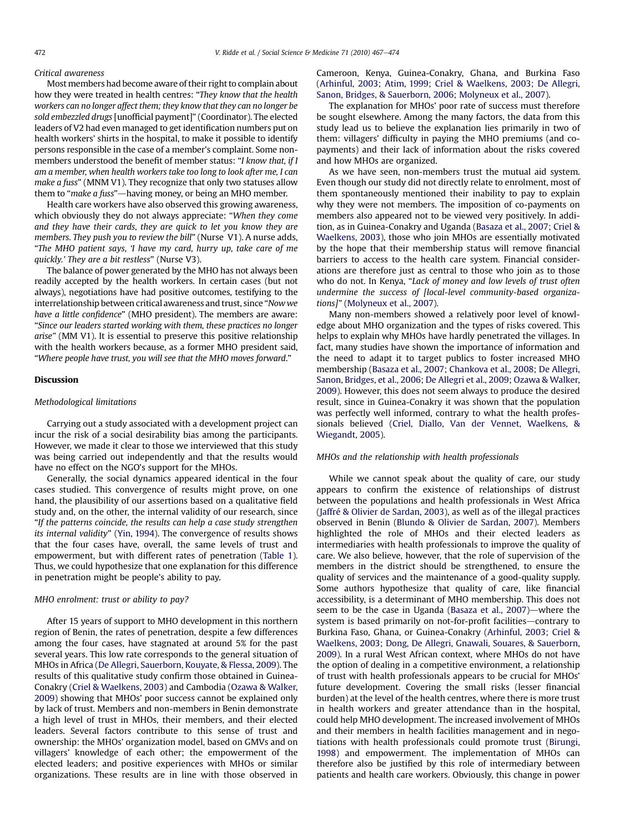#### Critical awareness

Most members had become aware of their right to complain about how they were treated in health centres: "They know that the health workers can no longer affect them; they know that they can no longer be sold embezzled drugs [unofficial payment]" (Coordinator). The elected leaders of V2 had even managed to get identification numbers put on health workers' shirts in the hospital, to make it possible to identify persons responsible in the case of a member's complaint. Some nonmembers understood the benefit of member status: "I know that, if I am a member, when health workers take too long to look after me, I can make a fuss" (MNM V1). They recognize that only two statuses allow them to "make a fuss"—having money, or being an MHO member.

Health care workers have also observed this growing awareness, which obviously they do not always appreciate: "When they come and they have their cards, they are quick to let you know they are members. They push you to review the bill" (Nurse V1). A nurse adds, "The MHO patient says, 'I have my card, hurry up, take care of me quickly.' They are a bit restless" (Nurse V3).

The balance of power generated by the MHO has not always been readily accepted by the health workers. In certain cases (but not always), negotiations have had positive outcomes, testifying to the interrelationship between critical awareness and trust, since "Now we have a little confidence" (MHO president). The members are aware: "Since our leaders started working with them, these practices no longer arise" (MM V1). It is essential to preserve this positive relationship with the health workers because, as a former MHO president said, "Where people have trust, you will see that the MHO moves forward."

#### Discussion

#### Methodological limitations

Carrying out a study associated with a development project can incur the risk of a social desirability bias among the participants. However, we made it clear to those we interviewed that this study was being carried out independently and that the results would have no effect on the NGO's support for the MHOs.

Generally, the social dynamics appeared identical in the four cases studied. This convergence of results might prove, on one hand, the plausibility of our assertions based on a qualitative field study and, on the other, the internal validity of our research, since "If the patterns coincide, the results can help a case study strengthen its internal validity" [\(Yin, 1994](#page-7-0)). The convergence of results shows that the four cases have, overall, the same levels of trust and empowerment, but with different rates of penetration ([Table 1](#page-2-0)). Thus, we could hypothesize that one explanation for this difference in penetration might be people's ability to pay.

#### MHO enrolment: trust or ability to pay?

After 15 years of support to MHO development in this northern region of Benin, the rates of penetration, despite a few differences among the four cases, have stagnated at around 5% for the past several years. This low rate corresponds to the general situation of MHOs in Africa ([De Allegri, Sauerborn, Kouyate, & Flessa, 2009](#page-7-0)). The results of this qualitative study confirm those obtained in Guinea-Conakry [\(Criel & Waelkens, 2003](#page-7-0)) and Cambodia [\(Ozawa & Walker,](#page-7-0) [2009](#page-7-0)) showing that MHOs' poor success cannot be explained only by lack of trust. Members and non-members in Benin demonstrate a high level of trust in MHOs, their members, and their elected leaders. Several factors contribute to this sense of trust and ownership: the MHOs' organization model, based on GMVs and on villagers' knowledge of each other; the empowerment of the elected leaders; and positive experiences with MHOs or similar organizations. These results are in line with those observed in Cameroon, Kenya, Guinea-Conakry, Ghana, and Burkina Faso ([Arhinful, 2003; Atim, 1999; Criel & Waelkens, 2003; De Allegri,](#page-6-0) [Sanon, Bridges, & Sauerborn, 2006; Molyneux et al., 2007\)](#page-6-0).

The explanation for MHOs' poor rate of success must therefore be sought elsewhere. Among the many factors, the data from this study lead us to believe the explanation lies primarily in two of them: villagers' difficulty in paying the MHO premiums (and copayments) and their lack of information about the risks covered and how MHOs are organized.

As we have seen, non-members trust the mutual aid system. Even though our study did not directly relate to enrolment, most of them spontaneously mentioned their inability to pay to explain why they were not members. The imposition of co-payments on members also appeared not to be viewed very positively. In addition, as in Guinea-Conakry and Uganda ([Basaza et al., 2007; Criel &](#page-6-0) [Waelkens, 2003\)](#page-6-0), those who join MHOs are essentially motivated by the hope that their membership status will remove financial barriers to access to the health care system. Financial considerations are therefore just as central to those who join as to those who do not. In Kenya, "Lack of money and low levels of trust often undermine the success of [local-level community-based organizations]" [\(Molyneux et al., 2007](#page-7-0)).

Many non-members showed a relatively poor level of knowledge about MHO organization and the types of risks covered. This helps to explain why MHOs have hardly penetrated the villages. In fact, many studies have shown the importance of information and the need to adapt it to target publics to foster increased MHO membership ([Basaza et al., 2007; Chankova et al., 2008; De Allegri,](#page-6-0) [Sanon, Bridges, et al., 2006; De Allegri et al., 2009](#page-6-0); [Ozawa & Walker,](#page-7-0) [2009](#page-7-0)). However, this does not seem always to produce the desired result, since in Guinea-Conakry it was shown that the population was perfectly well informed, contrary to what the health professionals believed [\(Criel, Diallo, Van der Vennet, Waelkens, &](#page-7-0) [Wiegandt, 2005](#page-7-0)).

#### MHOs and the relationship with health professionals

While we cannot speak about the quality of care, our study appears to confirm the existence of relationships of distrust between the populations and health professionals in West Africa ([Jaffré & Olivier de Sardan, 2003\)](#page-7-0), as well as of the illegal practices observed in Benin [\(Blundo & Olivier de Sardan, 2007\)](#page-7-0). Members highlighted the role of MHOs and their elected leaders as intermediaries with health professionals to improve the quality of care. We also believe, however, that the role of supervision of the members in the district should be strengthened, to ensure the quality of services and the maintenance of a good-quality supply. Some authors hypothesize that quality of care, like financial accessibility, is a determinant of MHO membership. This does not seem to be the case in Uganda ([Basaza et al., 2007\)](#page-6-0)—where the system is based primarily on not-for-profit facilities—contrary to Burkina Faso, Ghana, or Guinea-Conakry ([Arhinful, 2003; Criel &](#page-6-0) [Waelkens, 2003; Dong, De Allegri, Gnawali, Souares, & Sauerborn,](#page-6-0) [2009](#page-6-0)). In a rural West African context, where MHOs do not have the option of dealing in a competitive environment, a relationship of trust with health professionals appears to be crucial for MHOs' future development. Covering the small risks (lesser financial burden) at the level of the health centres, where there is more trust in health workers and greater attendance than in the hospital, could help MHO development. The increased involvement of MHOs and their members in health facilities management and in negotiations with health professionals could promote trust [\(Birungi,](#page-6-0) [1998](#page-6-0)) and empowerment. The implementation of MHOs can therefore also be justified by this role of intermediary between patients and health care workers. Obviously, this change in power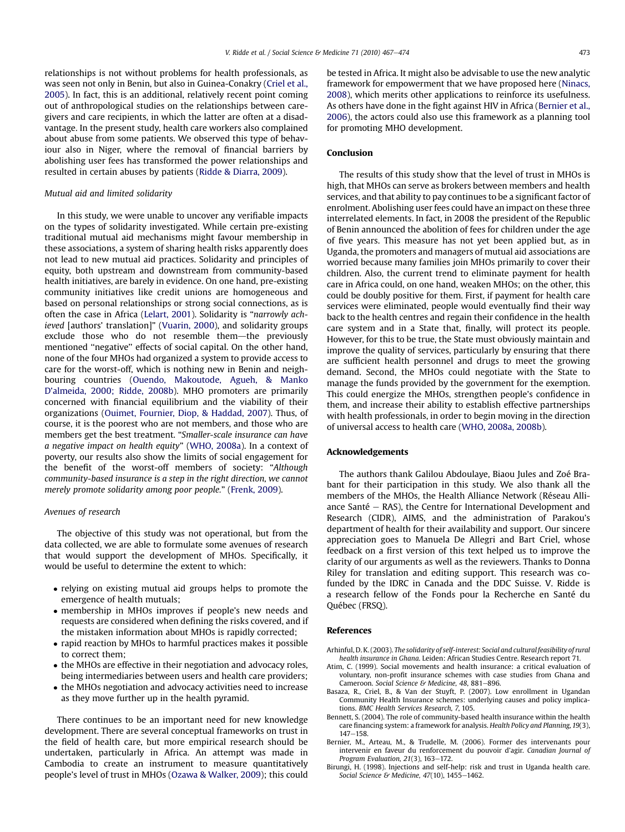<span id="page-6-0"></span>relationships is not without problems for health professionals, as was seen not only in Benin, but also in Guinea-Conakry [\(Criel et al.,](#page-7-0) [2005\)](#page-7-0). In fact, this is an additional, relatively recent point coming out of anthropological studies on the relationships between caregivers and care recipients, in which the latter are often at a disadvantage. In the present study, health care workers also complained about abuse from some patients. We observed this type of behaviour also in Niger, where the removal of financial barriers by abolishing user fees has transformed the power relationships and resulted in certain abuses by patients ([Ridde & Diarra, 2009](#page-7-0)).

### Mutual aid and limited solidarity

In this study, we were unable to uncover any verifiable impacts on the types of solidarity investigated. While certain pre-existing traditional mutual aid mechanisms might favour membership in these associations, a system of sharing health risks apparently does not lead to new mutual aid practices. Solidarity and principles of equity, both upstream and downstream from community-based health initiatives, are barely in evidence. On one hand, pre-existing community initiatives like credit unions are homogeneous and based on personal relationships or strong social connections, as is often the case in Africa [\(Lelart, 2001](#page-7-0)). Solidarity is "narrowly ach-ieved [authors' translation]" [\(Vuarin, 2000](#page-7-0)), and solidarity groups exclude those who do not resemble them-the previously mentioned ''negative'' effects of social capital. On the other hand, none of the four MHOs had organized a system to provide access to care for the worst-off, which is nothing new in Benin and neighbouring countries ([Ouendo, Makoutode, Agueh, & Manko](#page-7-0) D'[almeida, 2000; Ridde, 2008b](#page-7-0)). MHO promoters are primarily concerned with financial equilibrium and the viability of their organizations ([Ouimet, Fournier, Diop, & Haddad, 2007\)](#page-7-0). Thus, of course, it is the poorest who are not members, and those who are members get the best treatment. "Smaller-scale insurance can have a negative impact on health equity" ([WHO, 2008a\)](#page-7-0). In a context of poverty, our results also show the limits of social engagement for the benefit of the worst-off members of society: "Although community-based insurance is a step in the right direction, we cannot merely promote solidarity among poor people." [\(Frenk, 2009\)](#page-7-0).

### Avenues of research

The objective of this study was not operational, but from the data collected, we are able to formulate some avenues of research that would support the development of MHOs. Specifically, it would be useful to determine the extent to which:

- relying on existing mutual aid groups helps to promote the emergence of health mutuals;
- membership in MHOs improves if people's new needs and requests are considered when defining the risks covered, and if the mistaken information about MHOs is rapidly corrected;
- rapid reaction by MHOs to harmful practices makes it possible to correct them;
- the MHOs are effective in their negotiation and advocacy roles, being intermediaries between users and health care providers;
- the MHOs negotiation and advocacy activities need to increase as they move further up in the health pyramid.

There continues to be an important need for new knowledge development. There are several conceptual frameworks on trust in the field of health care, but more empirical research should be undertaken, particularly in Africa. An attempt was made in Cambodia to create an instrument to measure quantitatively people's level of trust in MHOs [\(Ozawa & Walker, 2009\)](#page-7-0); this could be tested in Africa. It might also be advisable to use the new analytic framework for empowerment that we have proposed here ([Ninacs,](#page-7-0) [2008\)](#page-7-0), which merits other applications to reinforce its usefulness. As others have done in the fight against HIV in Africa (Bernier et al., 2006), the actors could also use this framework as a planning tool for promoting MHO development.

## Conclusion

The results of this study show that the level of trust in MHOs is high, that MHOs can serve as brokers between members and health services, and that ability to pay continues to be a significant factor of enrolment. Abolishing user fees could have an impact on these three interrelated elements. In fact, in 2008 the president of the Republic of Benin announced the abolition of fees for children under the age of five years. This measure has not yet been applied but, as in Uganda, the promoters and managers of mutual aid associations are worried because many families join MHOs primarily to cover their children. Also, the current trend to eliminate payment for health care in Africa could, on one hand, weaken MHOs; on the other, this could be doubly positive for them. First, if payment for health care services were eliminated, people would eventually find their way back to the health centres and regain their confidence in the health care system and in a State that, finally, will protect its people. However, for this to be true, the State must obviously maintain and improve the quality of services, particularly by ensuring that there are sufficient health personnel and drugs to meet the growing demand. Second, the MHOs could negotiate with the State to manage the funds provided by the government for the exemption. This could energize the MHOs, strengthen people's confidence in them, and increase their ability to establish effective partnerships with health professionals, in order to begin moving in the direction of universal access to health care [\(WHO, 2008a, 2008b](#page-7-0)).

## Acknowledgements

The authors thank Galilou Abdoulaye, Biaou Jules and Zoé Brabant for their participation in this study. We also thank all the members of the MHOs, the Health Alliance Network (Réseau Alliance Santé  $-$  RAS), the Centre for International Development and Research (CIDR), AIMS, and the administration of Parakou's department of health for their availability and support. Our sincere appreciation goes to Manuela De Allegri and Bart Criel, whose feedback on a first version of this text helped us to improve the clarity of our arguments as well as the reviewers. Thanks to Donna Riley for translation and editing support. This research was cofunded by the IDRC in Canada and the DDC Suisse. V. Ridde is a research fellow of the Fonds pour la Recherche en Santé du Québec (FRSQ).

#### References

Arhinful, D. K. (2003). The solidarity of self-interest: Social and cultural feasibility of rural health insurance in Ghana. Leiden: African Studies Centre. Research report 71.

- Atim, C. (1999). Social movements and health insurance: a critical evaluation of voluntary, non-profit insurance schemes with case studies from Ghana and Cameroon. Social Science & Medicine, 48, 881-896.
- Basaza, R., Criel, B., & Van der Stuyft, P. (2007). Low enrollment in Ugandan Community Health Insurance schemes: underlying causes and policy implications. BMC Health Services Research, 7, 105.
- Bennett, S. (2004). The role of community-based health insurance within the health care financing system: a framework for analysis. Health Policy and Planning, 19(3),  $147 - 158.$
- Bernier, M., Arteau, M., & Trudelle, M. (2006). Former des intervenants pour intervenir en faveur du renforcement du pouvoir d'agir. Canadian Journal of Program Evaluation, 21(3), 163-172.
- Birungi, H. (1998). Injections and self-help: risk and trust in Uganda health care. Social Science & Medicine, 47(10), 1455-1462.